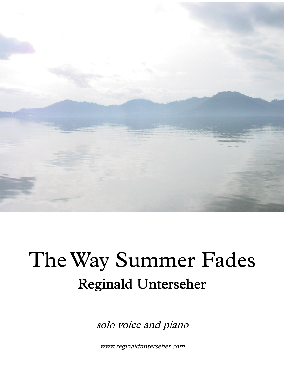

## TheWay Summer Fades Reginald Unterseher

solo voice and piano

www.reginaldunterseher.com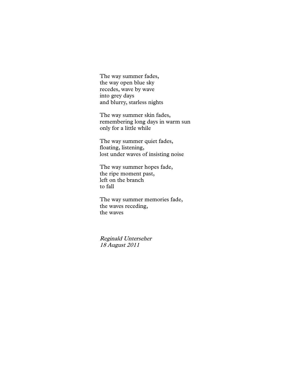The way summer fades, the way open blue sky recedes, wave by wave into grey days and blurry, starless nights

The way summer skin fades, remembering long days in warm sun only for a little while

The way summer quiet fades, floating, listening, lost under waves of insisting noise

The way summer hopes fade, the ripe moment past, left on the branch to fall

The way summer memories fade, the waves receding, the waves

Reginald Unterseher 18 August 2011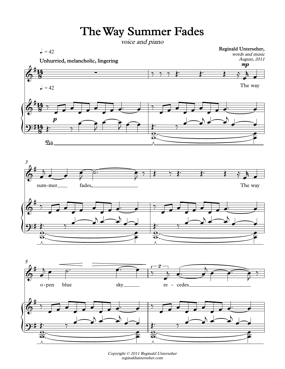TheWay Summer Fades

voice and piano

 $l = 42$ 





Copyright © 2011 Reginald Unterseher reginaldunterseher.com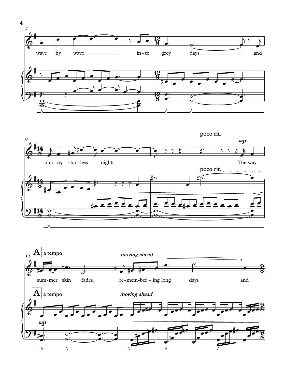





4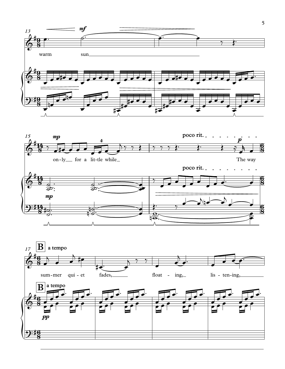



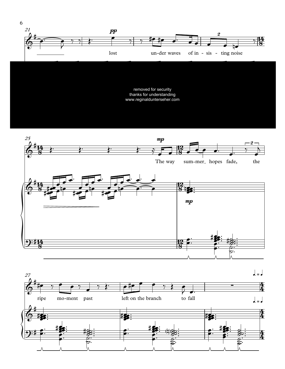

removed for security thanks for understanding www.reginaldunterseher.com